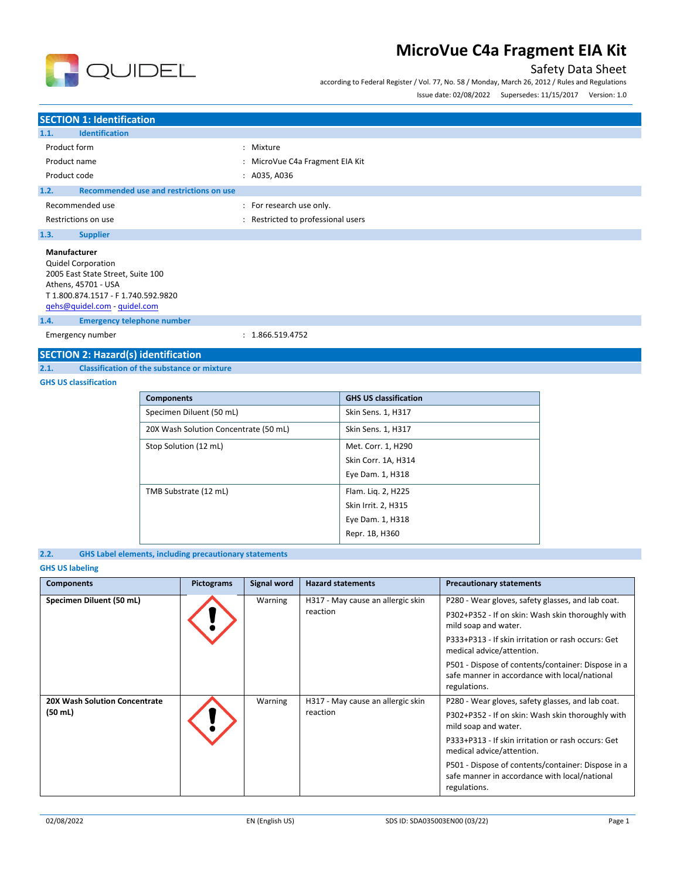

### Safety Data Sheet

according to Federal Register / Vol. 77, No. 58 / Monday, March 26, 2012 / Rules and Regulations

Issue date: 02/08/2022 Supersedes: 11/15/2017 Version: 1.0

### **SECTION 1: Identification**

| <b>Identification</b><br>1.1.                                                                                                                |                                  |
|----------------------------------------------------------------------------------------------------------------------------------------------|----------------------------------|
| Product form                                                                                                                                 | : Mixture                        |
| Product name                                                                                                                                 | : MicroVue C4a Fragment EIA Kit  |
| Product code                                                                                                                                 | : A035, A036                     |
| Recommended use and restrictions on use<br>1.2.                                                                                              |                                  |
| Recommended use                                                                                                                              | : For research use only.         |
| Restrictions on use                                                                                                                          | Restricted to professional users |
| 1.3.<br><b>Supplier</b>                                                                                                                      |                                  |
| Manufacturer<br><b>Quidel Corporation</b><br>2005 East State Street, Suite 100<br>Athens, 45701 - USA<br>T 1.800.874.1517 - F 1.740.592.9820 |                                  |

[qehs@quidel.com](mailto:qehs@quidel.com) - [quidel.com](http://quidel.com/)

**1.4. Emergency telephone number**

Emergency number : 1.866.519.4752

# **SECTION 2: Hazard(s) identification**<br>2.1. Classification of the substance or

**2.1. Classification of the substance or mixture**

#### **GHS US classification**

| <b>Components</b>                     | <b>GHS US classification</b> |
|---------------------------------------|------------------------------|
| Specimen Diluent (50 mL)              | Skin Sens. 1, H317           |
| 20X Wash Solution Concentrate (50 mL) | Skin Sens. 1, H317           |
| Stop Solution (12 mL)                 | Met. Corr. 1, H290           |
|                                       | Skin Corr. 1A, H314          |
|                                       | Eye Dam. 1, H318             |
| TMB Substrate (12 mL)                 | Flam. Lig. 2, H225           |
|                                       | Skin Irrit. 2, H315          |
|                                       | Eye Dam. 1, H318             |
|                                       | Repr. 1B, H360               |

#### **2.2. GHS Label elements, including precautionary statements**

### **GHS US labeling**

| <b>Components</b>                                  | <b>Pictograms</b> | Signal word | <b>Hazard statements</b>                      | <b>Precautionary statements</b>                                                                                                                                                                                                                                                                                                          |
|----------------------------------------------------|-------------------|-------------|-----------------------------------------------|------------------------------------------------------------------------------------------------------------------------------------------------------------------------------------------------------------------------------------------------------------------------------------------------------------------------------------------|
| Specimen Diluent (50 mL)                           |                   | Warning     | H317 - May cause an allergic skin<br>reaction | P280 - Wear gloves, safety glasses, and lab coat.<br>P302+P352 - If on skin: Wash skin thoroughly with<br>mild soap and water.<br>P333+P313 - If skin irritation or rash occurs: Get<br>medical advice/attention.<br>P501 - Dispose of contents/container: Dispose in a<br>safe manner in accordance with local/national<br>regulations. |
| 20X Wash Solution Concentrate<br>$(50 \text{ mL})$ |                   | Warning     | H317 - May cause an allergic skin<br>reaction | P280 - Wear gloves, safety glasses, and lab coat.<br>P302+P352 - If on skin: Wash skin thoroughly with<br>mild soap and water.<br>P333+P313 - If skin irritation or rash occurs: Get<br>medical advice/attention.<br>P501 - Dispose of contents/container: Dispose in a<br>safe manner in accordance with local/national<br>regulations. |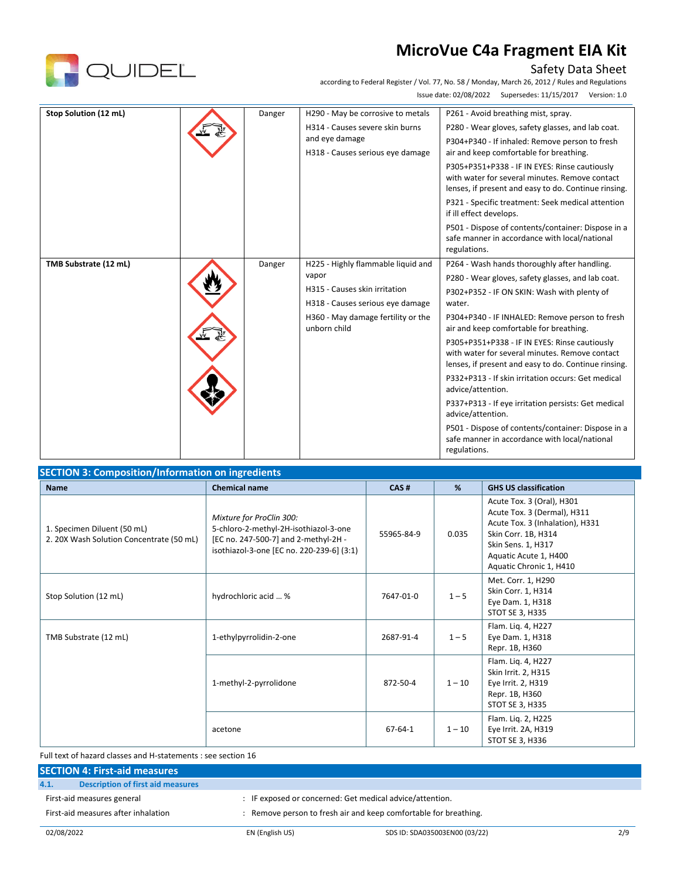

### Safety Data Sheet

according to Federal Register / Vol. 77, No. 58 / Monday, March 26, 2012 / Rules and Regulations Issue date: 02/08/2022 Supersedes: 11/15/2017 Version: 1.0

| Stop Solution (12 mL) | Danger | H290 - May be corrosive to metals                  | P261 - Avoid breathing mist, spray.                                                                                                                     |
|-----------------------|--------|----------------------------------------------------|---------------------------------------------------------------------------------------------------------------------------------------------------------|
|                       |        | H314 - Causes severe skin burns                    | P280 - Wear gloves, safety glasses, and lab coat.                                                                                                       |
|                       |        | and eye damage                                     | P304+P340 - If inhaled: Remove person to fresh                                                                                                          |
|                       |        | H318 - Causes serious eye damage                   | air and keep comfortable for breathing.                                                                                                                 |
|                       |        |                                                    | P305+P351+P338 - IF IN EYES: Rinse cautiously<br>with water for several minutes. Remove contact<br>lenses, if present and easy to do. Continue rinsing. |
|                       |        |                                                    | P321 - Specific treatment: Seek medical attention<br>if ill effect develops.                                                                            |
|                       |        |                                                    | P501 - Dispose of contents/container: Dispose in a<br>safe manner in accordance with local/national<br>regulations.                                     |
| TMB Substrate (12 mL) | Danger | H225 - Highly flammable liquid and                 | P264 - Wash hands thoroughly after handling.                                                                                                            |
|                       |        | vapor                                              | P280 - Wear gloves, safety glasses, and lab coat.                                                                                                       |
|                       |        | H315 - Causes skin irritation                      | P302+P352 - IF ON SKIN: Wash with plenty of                                                                                                             |
|                       |        | H318 - Causes serious eye damage                   | water.                                                                                                                                                  |
|                       |        | H360 - May damage fertility or the<br>unborn child | P304+P340 - IF INHALED: Remove person to fresh<br>air and keep comfortable for breathing.                                                               |
|                       |        |                                                    | P305+P351+P338 - IF IN EYES: Rinse cautiously<br>with water for several minutes. Remove contact<br>lenses, if present and easy to do. Continue rinsing. |
|                       |        |                                                    | P332+P313 - If skin irritation occurs: Get medical<br>advice/attention.                                                                                 |
|                       |        |                                                    | P337+P313 - If eye irritation persists: Get medical<br>advice/attention.                                                                                |
|                       |        |                                                    | P501 - Dispose of contents/container: Dispose in a<br>safe manner in accordance with local/national<br>regulations.                                     |
|                       |        |                                                    |                                                                                                                                                         |

| <b>Name</b>                                                             | <b>Chemical name</b>                                                                                                                                   | CAS#          | %        | <b>GHS US classification</b>                                                                                                                                                                 |
|-------------------------------------------------------------------------|--------------------------------------------------------------------------------------------------------------------------------------------------------|---------------|----------|----------------------------------------------------------------------------------------------------------------------------------------------------------------------------------------------|
| 1. Specimen Diluent (50 mL)<br>2. 20X Wash Solution Concentrate (50 mL) | Mixture for ProClin 300:<br>5-chloro-2-methyl-2H-isothiazol-3-one<br>[EC no. 247-500-7] and 2-methyl-2H -<br>isothiazol-3-one [EC no. 220-239-6] (3:1) | 55965-84-9    | 0.035    | Acute Tox. 3 (Oral), H301<br>Acute Tox. 3 (Dermal), H311<br>Acute Tox. 3 (Inhalation), H331<br>Skin Corr. 1B, H314<br>Skin Sens. 1, H317<br>Aquatic Acute 1, H400<br>Aquatic Chronic 1, H410 |
| Stop Solution (12 mL)                                                   | hydrochloric acid  %                                                                                                                                   | 7647-01-0     | $1 - 5$  | Met. Corr. 1, H290<br>Skin Corr. 1, H314<br>Eye Dam. 1, H318<br>STOT SE 3, H335                                                                                                              |
| TMB Substrate (12 mL)                                                   | 1-ethylpyrrolidin-2-one                                                                                                                                | 2687-91-4     | $1 - 5$  | Flam. Lig. 4, H227<br>Eye Dam. 1, H318<br>Repr. 1B, H360                                                                                                                                     |
|                                                                         | 1-methyl-2-pyrrolidone                                                                                                                                 | 872-50-4      | $1 - 10$ | Flam. Lig. 4, H227<br>Skin Irrit. 2, H315<br>Eye Irrit. 2, H319<br>Repr. 1B, H360<br>STOT SE 3, H335                                                                                         |
|                                                                         | acetone                                                                                                                                                | $67 - 64 - 1$ | $1 - 10$ | Flam. Liq. 2, H225<br>Eye Irrit. 2A, H319<br>STOT SE 3, H336                                                                                                                                 |

Full text of hazard classes and H-statements : see section 16

#### **SECTION 4: First-aid measures**

#### **4.1. Description of first aid measures**

First-aid measures general  $\qquad \qquad : \qquad$  IF exposed or concerned: Get medical advice/attention.

First-aid measures after inhalation : Remove person to fresh air and keep comfortable for breathing.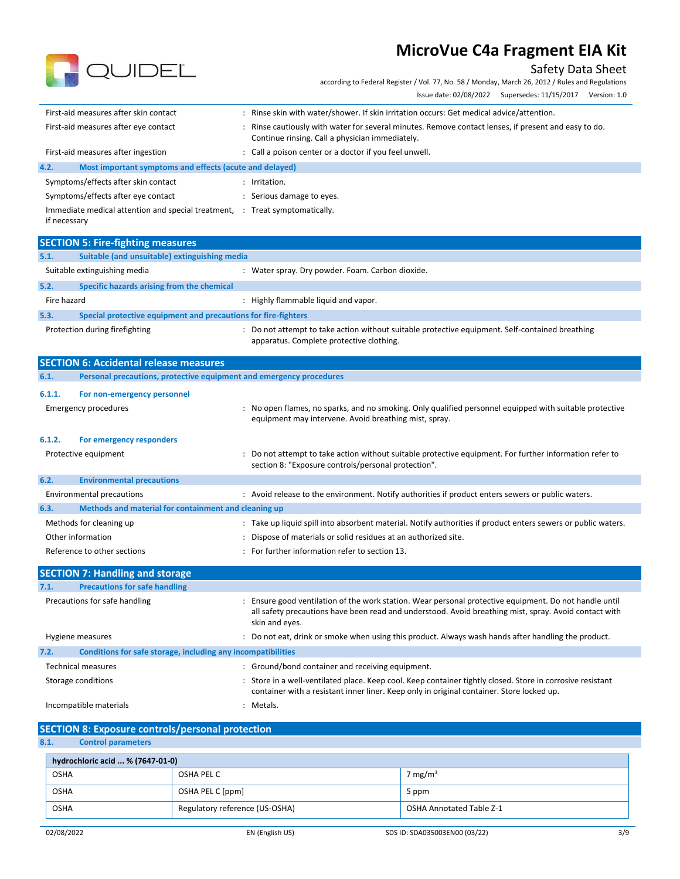# QUIDEL

## Safety Data Sheet

according to Federal Register / Vol. 77, No. 58 / Monday, March 26, 2012 / Rules and Regulations Issue date: 02/08/2022 Supersedes: 11/15/2017 Version: 1.0

| First-aid measures after skin contact                                | Rinse skin with water/shower. If skin irritation occurs: Get medical advice/attention.                                                                |
|----------------------------------------------------------------------|-------------------------------------------------------------------------------------------------------------------------------------------------------|
| First-aid measures after eye contact                                 | Rinse cautiously with water for several minutes. Remove contact lenses, if present and easy to do.<br>Continue rinsing. Call a physician immediately. |
| First-aid measures after ingestion                                   | : Call a poison center or a doctor if you feel unwell.                                                                                                |
| 4.2.<br>Most important symptoms and effects (acute and delayed)      |                                                                                                                                                       |
| Symptoms/effects after skin contact                                  | Irritation.                                                                                                                                           |
| Symptoms/effects after eye contact                                   | Serious damage to eyes.                                                                                                                               |
| Immediate medical attention and special treatment, :<br>if necessary | Treat symptomatically.                                                                                                                                |
|                                                                      |                                                                                                                                                       |

|             | <b>SECTION 5: Fire-fighting measures</b>                       |  |                                                                                                                                           |  |  |
|-------------|----------------------------------------------------------------|--|-------------------------------------------------------------------------------------------------------------------------------------------|--|--|
| 5.1.        | Suitable (and unsuitable) extinguishing media                  |  |                                                                                                                                           |  |  |
|             | Suitable extinguishing media                                   |  | : Water spray. Dry powder. Foam. Carbon dioxide.                                                                                          |  |  |
| 5.2.        | Specific hazards arising from the chemical                     |  |                                                                                                                                           |  |  |
| Fire hazard |                                                                |  | Highly flammable liquid and vapor.                                                                                                        |  |  |
| 5.3.        | Special protective equipment and precautions for fire-fighters |  |                                                                                                                                           |  |  |
|             | Protection during firefighting                                 |  | Do not attempt to take action without suitable protective equipment. Self-contained breathing<br>apparatus. Complete protective clothing. |  |  |

|        | <b>SECTION 6: Accidental release measures</b>                       |  |                                                                                                                                                                  |  |  |
|--------|---------------------------------------------------------------------|--|------------------------------------------------------------------------------------------------------------------------------------------------------------------|--|--|
| 6.1.   | Personal precautions, protective equipment and emergency procedures |  |                                                                                                                                                                  |  |  |
| 6.1.1. | For non-emergency personnel                                         |  |                                                                                                                                                                  |  |  |
|        | <b>Emergency procedures</b>                                         |  | : No open flames, no sparks, and no smoking. Only qualified personnel equipped with suitable protective<br>equipment may intervene. Avoid breathing mist, spray. |  |  |
| 6.1.2. | For emergency responders                                            |  |                                                                                                                                                                  |  |  |
|        | Protective equipment                                                |  | : Do not attempt to take action without suitable protective equipment. For further information refer to<br>section 8: "Exposure controls/personal protection".   |  |  |
| 6.2.   | <b>Environmental precautions</b>                                    |  |                                                                                                                                                                  |  |  |
|        | <b>Environmental precautions</b>                                    |  | : Avoid release to the environment. Notify authorities if product enters sewers or public waters.                                                                |  |  |
| 6.3.   | Methods and material for containment and cleaning up                |  |                                                                                                                                                                  |  |  |
|        | Methods for cleaning up                                             |  | : Take up liquid spill into absorbent material. Notify authorities if product enters sewers or public waters.                                                    |  |  |
|        | Other information                                                   |  | : Dispose of materials or solid residues at an authorized site.                                                                                                  |  |  |
|        | Reference to other sections                                         |  | : For further information refer to section 13.                                                                                                                   |  |  |
|        | <b>SECTION 7: Handling and storage</b>                              |  |                                                                                                                                                                  |  |  |

| <b>Precautions for safe handling</b><br>7.1.                         |                                                                                                                                                                                                                                 |
|----------------------------------------------------------------------|---------------------------------------------------------------------------------------------------------------------------------------------------------------------------------------------------------------------------------|
| Precautions for safe handling                                        | Ensure good ventilation of the work station. Wear personal protective equipment. Do not handle until<br>all safety precautions have been read and understood. Avoid breathing mist, spray. Avoid contact with<br>skin and eyes. |
| Hygiene measures                                                     | : Do not eat, drink or smoke when using this product. Always wash hands after handling the product.                                                                                                                             |
| 7.2.<br>Conditions for safe storage, including any incompatibilities |                                                                                                                                                                                                                                 |
| <b>Technical measures</b>                                            | : Ground/bond container and receiving equipment.                                                                                                                                                                                |
| Storage conditions                                                   | : Store in a well-ventilated place. Keep cool. Keep container tightly closed. Store in corrosive resistant<br>container with a resistant inner liner. Keep only in original container. Store locked up.                         |
| Incompatible materials                                               | : Metals.                                                                                                                                                                                                                       |

| <b>SECTION 8: Exposure controls/personal protection</b> |  |  |
|---------------------------------------------------------|--|--|
|                                                         |  |  |

**8.1. Control parameters**

| hydrochloric acid  % (7647-01-0)                                          |                  |                     |  |  |  |  |
|---------------------------------------------------------------------------|------------------|---------------------|--|--|--|--|
| OSHA                                                                      | OSHA PEL C       | 7 mg/m <sup>3</sup> |  |  |  |  |
| <b>OSHA</b>                                                               | OSHA PEL C [ppm] | 5 ppm               |  |  |  |  |
| Regulatory reference (US-OSHA)<br><b>OSHA Annotated Table Z-1</b><br>OSHA |                  |                     |  |  |  |  |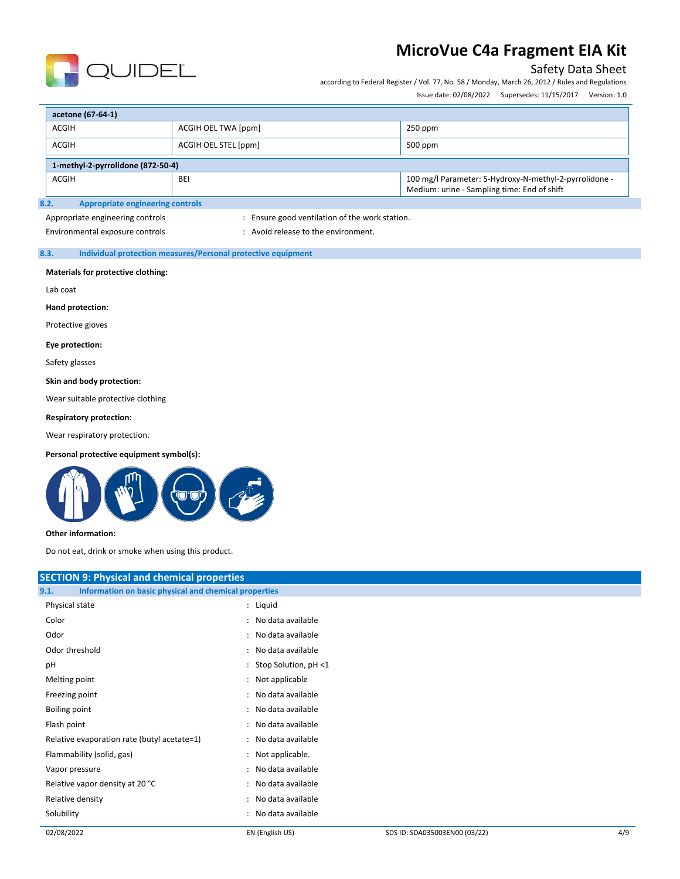

### Safety Data Sheet

according to Federal Register / Vol. 77, No. 58 / Monday, March 26, 2012 / Rules and Regulations

Issue date: 02/08/2022 Supersedes: 11/15/2017 Version: 1.0

| acetone (67-64-1)                                                                                                                   |                                   |           |  |  |  |  |
|-------------------------------------------------------------------------------------------------------------------------------------|-----------------------------------|-----------|--|--|--|--|
| <b>ACGIH</b>                                                                                                                        | ACGIH OEL TWA [ppm]               | $250$ ppm |  |  |  |  |
| <b>ACGIH</b><br>ACGIH OEL STEL [ppm]<br>$500$ ppm                                                                                   |                                   |           |  |  |  |  |
|                                                                                                                                     | 1-methyl-2-pyrrolidone (872-50-4) |           |  |  |  |  |
| 100 mg/l Parameter: 5-Hydroxy-N-methyl-2-pyrrolidone -<br><b>ACGIH</b><br><b>BEI</b><br>Medium: urine - Sampling time: End of shift |                                   |           |  |  |  |  |
| Annropriate engineering controls<br>R 7                                                                                             |                                   |           |  |  |  |  |

#### **8.2. Appropriate engineering controls**

Appropriate engineering controls in the station of the work station.

Environmental exposure controls  $\cdot$  : Avoid release to the environment.

#### **8.3. Individual protection measures/Personal protective equipment**

#### **Materials for protective clothing:**

Lab coat

**Hand protection:**

Protective gloves

#### **Eye protection:**

Safety glasses

#### **Skin and body protection:**

Wear suitable protective clothing

#### **Respiratory protection:**

Wear respiratory protection.

#### **Personal protective equipment symbol(s):**



#### **Other information:**

Do not eat, drink or smoke when using this product.

| <b>SECTION 9: Physical and chemical properties</b>            |                        |  |
|---------------------------------------------------------------|------------------------|--|
| Information on basic physical and chemical properties<br>9.1. |                        |  |
| Physical state                                                | : Liquid               |  |
| Color                                                         | : No data available    |  |
| Odor                                                          | : No data available    |  |
| Odor threshold                                                | : No data available    |  |
| pH                                                            | : Stop Solution, pH <1 |  |
| Melting point                                                 | : Not applicable       |  |
| Freezing point                                                | : No data available    |  |
| Boiling point                                                 | : No data available    |  |
| Flash point                                                   | : No data available    |  |
| Relative evaporation rate (butyl acetate=1)                   | : No data available    |  |
| Flammability (solid, gas)                                     | : Not applicable.      |  |
| Vapor pressure                                                | : No data available    |  |
| Relative vapor density at 20 °C                               | : No data available    |  |
| Relative density                                              | : No data available    |  |
| Solubility                                                    | : No data available    |  |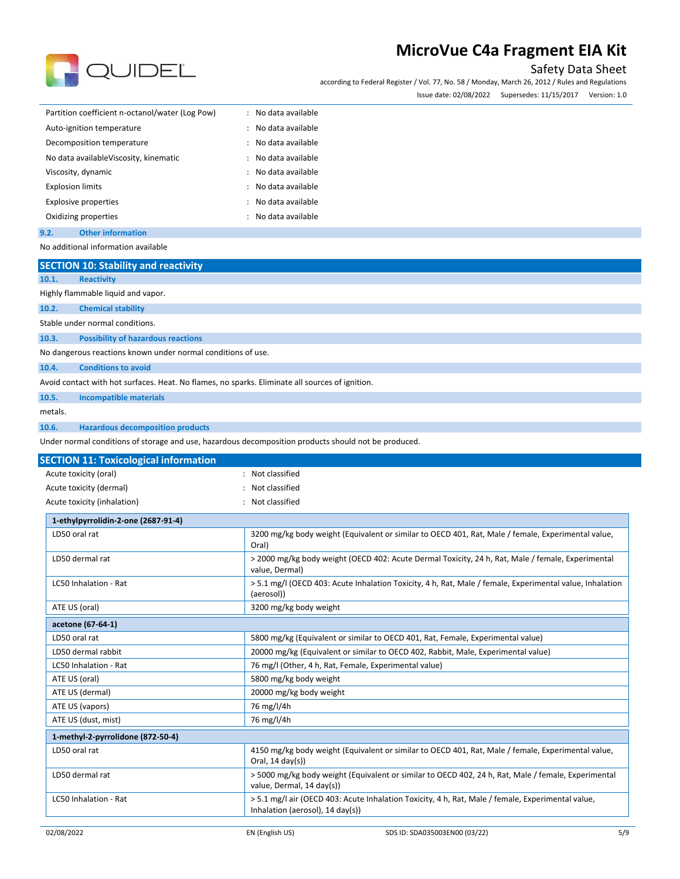

### Safety Data Sheet

according to Federal Register / Vol. 77, No. 58 / Monday, March 26, 2012 / Rules and Regulations Issue date: 02/08/2022 Supersedes: 11/15/2017 Version: 1.0

| issue date. UZ/UO/ZUZZ | Juperseurs. 11/13/2017 | veisiuli. 1.0 |  |
|------------------------|------------------------|---------------|--|
|                        |                        |               |  |

| Partition coefficient n-octanol/water (Log Pow) | : No data available |
|-------------------------------------------------|---------------------|
| Auto-ignition temperature                       | : No data available |
| Decomposition temperature                       | : No data available |
| No data available Viscosity, kinematic          | : No data available |
| Viscosity, dynamic                              | No data available   |
| <b>Explosion limits</b>                         | : No data available |
| <b>Explosive properties</b>                     | : No data available |
| Oxidizing properties                            | : No data available |
|                                                 |                     |

### **9.2. Other information**

No additional information available

| <b>SECTION 10: Stability and reactivity</b>                                                     |                                                                                                                                       |
|-------------------------------------------------------------------------------------------------|---------------------------------------------------------------------------------------------------------------------------------------|
| 10.1.<br><b>Reactivity</b>                                                                      |                                                                                                                                       |
| Highly flammable liquid and vapor.                                                              |                                                                                                                                       |
| 10.2.<br><b>Chemical stability</b>                                                              |                                                                                                                                       |
| Stable under normal conditions.                                                                 |                                                                                                                                       |
| <b>Possibility of hazardous reactions</b><br>10.3.                                              |                                                                                                                                       |
| No dangerous reactions known under normal conditions of use.                                    |                                                                                                                                       |
| 10.4.<br><b>Conditions to avoid</b>                                                             |                                                                                                                                       |
| Avoid contact with hot surfaces. Heat. No flames, no sparks. Eliminate all sources of ignition. |                                                                                                                                       |
| 10.5.<br><b>Incompatible materials</b>                                                          |                                                                                                                                       |
| metals.                                                                                         |                                                                                                                                       |
| 10.6.<br><b>Hazardous decomposition products</b>                                                |                                                                                                                                       |
|                                                                                                 | Under normal conditions of storage and use, hazardous decomposition products should not be produced.                                  |
|                                                                                                 |                                                                                                                                       |
| <b>SECTION 11: Toxicological information</b><br>Acute toxicity (oral)                           | Not classified                                                                                                                        |
|                                                                                                 | Not classified                                                                                                                        |
| Acute toxicity (dermal)                                                                         |                                                                                                                                       |
| Acute toxicity (inhalation)                                                                     | Not classified                                                                                                                        |
| 1-ethylpyrrolidin-2-one (2687-91-4)                                                             |                                                                                                                                       |
| LD50 oral rat                                                                                   | 3200 mg/kg body weight (Equivalent or similar to OECD 401, Rat, Male / female, Experimental value,<br>Oral)                           |
| LD50 dermal rat                                                                                 | > 2000 mg/kg body weight (OECD 402: Acute Dermal Toxicity, 24 h, Rat, Male / female, Experimental<br>value, Dermal)                   |
| LC50 Inhalation - Rat                                                                           | > 5.1 mg/l (OECD 403: Acute Inhalation Toxicity, 4 h, Rat, Male / female, Experimental value, Inhalation<br>(aerosol))                |
| ATE US (oral)                                                                                   | 3200 mg/kg body weight                                                                                                                |
| acetone (67-64-1)                                                                               |                                                                                                                                       |
| LD50 oral rat                                                                                   | 5800 mg/kg (Equivalent or similar to OECD 401, Rat, Female, Experimental value)                                                       |
| LD50 dermal rabbit                                                                              | 20000 mg/kg (Equivalent or similar to OECD 402, Rabbit, Male, Experimental value)                                                     |
| LC50 Inhalation - Rat                                                                           | 76 mg/l (Other, 4 h, Rat, Female, Experimental value)                                                                                 |
| ATE US (oral)                                                                                   | 5800 mg/kg body weight                                                                                                                |
| ATE US (dermal)                                                                                 | 20000 mg/kg body weight                                                                                                               |
| ATE US (vapors)                                                                                 | 76 mg/l/4h                                                                                                                            |
| ATE US (dust, mist)                                                                             | 76 mg/l/4h                                                                                                                            |
| 1-methyl-2-pyrrolidone (872-50-4)                                                               |                                                                                                                                       |
| LD50 oral rat                                                                                   | 4150 mg/kg body weight (Equivalent or similar to OECD 401, Rat, Male / female, Experimental value<br>Oral, $14 \text{ day}(s)$        |
| LD50 dermal rat                                                                                 | > 5000 mg/kg body weight (Equivalent or similar to OECD 402, 24 h, Rat, Male / female, Experimental<br>value, Dermal, 14 day(s))      |
| LC50 Inhalation - Rat                                                                           | > 5.1 mg/l air (OECD 403: Acute Inhalation Toxicity, 4 h, Rat, Male / female, Experimental value,<br>Inhalation (aerosol), 14 day(s)) |
| 02/08/2022                                                                                      | 5/9<br>EN (English US)<br>SDS ID: SDA035003EN00 (03/22)                                                                               |
|                                                                                                 |                                                                                                                                       |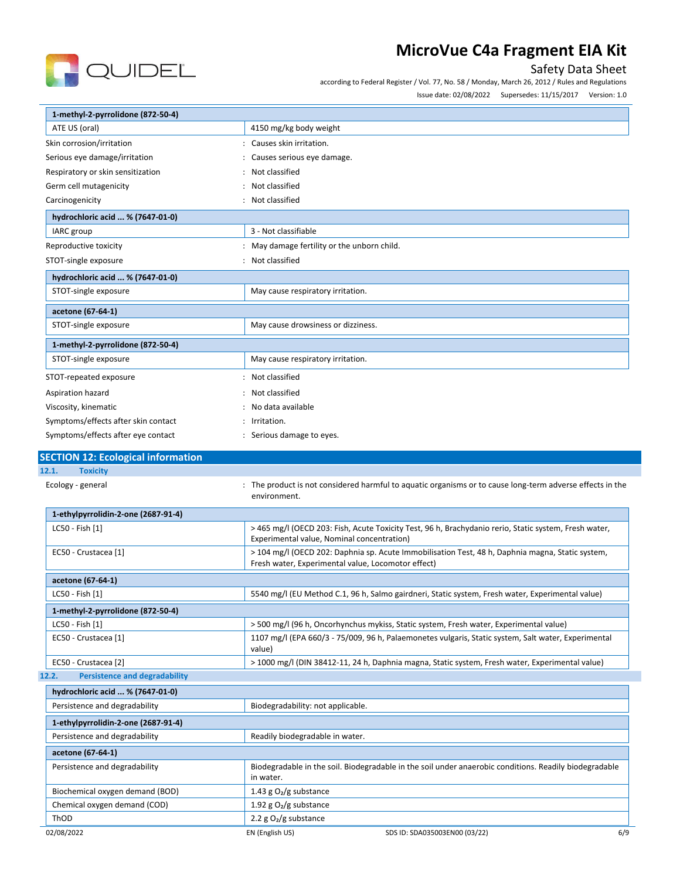

### Safety Data Sheet

according to Federal Register / Vol. 77, No. 58 / Monday, March 26, 2012 / Rules and Regulations

Issue date: 02/08/2022 Supersedes: 11/15/2017 Version: 1.0

| 1-methyl-2-pyrrolidone (872-50-4)                      |                                                                                                                                                        |  |
|--------------------------------------------------------|--------------------------------------------------------------------------------------------------------------------------------------------------------|--|
| ATE US (oral)<br>4150 mg/kg body weight                |                                                                                                                                                        |  |
| Skin corrosion/irritation<br>: Causes skin irritation. |                                                                                                                                                        |  |
| Serious eye damage/irritation                          | Causes serious eye damage.                                                                                                                             |  |
| Respiratory or skin sensitization                      | Not classified                                                                                                                                         |  |
| Germ cell mutagenicity                                 | Not classified                                                                                                                                         |  |
| Carcinogenicity                                        | : Not classified                                                                                                                                       |  |
| hydrochloric acid  % (7647-01-0)                       |                                                                                                                                                        |  |
| IARC group                                             | 3 - Not classifiable                                                                                                                                   |  |
| Reproductive toxicity                                  | : May damage fertility or the unborn child.                                                                                                            |  |
| STOT-single exposure                                   | : Not classified                                                                                                                                       |  |
| hydrochloric acid  % (7647-01-0)                       |                                                                                                                                                        |  |
| STOT-single exposure                                   | May cause respiratory irritation.                                                                                                                      |  |
| acetone (67-64-1)                                      |                                                                                                                                                        |  |
| STOT-single exposure                                   | May cause drowsiness or dizziness.                                                                                                                     |  |
| 1-methyl-2-pyrrolidone (872-50-4)                      |                                                                                                                                                        |  |
| STOT-single exposure                                   | May cause respiratory irritation.                                                                                                                      |  |
| STOT-repeated exposure                                 | Not classified                                                                                                                                         |  |
| Aspiration hazard                                      | Not classified                                                                                                                                         |  |
| Viscosity, kinematic                                   | No data available                                                                                                                                      |  |
| Symptoms/effects after skin contact<br>Irritation.     |                                                                                                                                                        |  |
| Symptoms/effects after eye contact                     | Serious damage to eyes.                                                                                                                                |  |
| <b>SECTION 12: Ecological information</b>              |                                                                                                                                                        |  |
| 12.1.<br><b>Toxicity</b>                               |                                                                                                                                                        |  |
| Ecology - general                                      | The product is not considered harmful to aquatic organisms or to cause long-term adverse effects in the<br>environment.                                |  |
| 1-ethylpyrrolidin-2-one (2687-91-4)                    |                                                                                                                                                        |  |
| LC50 - Fish [1]                                        | > 465 mg/l (OECD 203: Fish, Acute Toxicity Test, 96 h, Brachydanio rerio, Static system, Fresh water,<br>Experimental value, Nominal concentration)    |  |
| EC50 - Crustacea [1]                                   | > 104 mg/l (OECD 202: Daphnia sp. Acute Immobilisation Test, 48 h, Daphnia magna, Static system,<br>Fresh water, Experimental value, Locomotor effect) |  |
| acetone (67-64-1)                                      |                                                                                                                                                        |  |
| $LC50 - Fish [1]$                                      | 5540 mg/l (EU Method C.1, 96 h, Salmo gairdneri, Static system, Fresh water, Experimental value)                                                       |  |
| 1-methyl-2-pyrrolidone (872-50-4)                      |                                                                                                                                                        |  |
| LC50 - Fish [1]                                        | > 500 mg/l (96 h, Oncorhynchus mykiss, Static system, Fresh water, Experimental value)                                                                 |  |
| EC50 - Crustacea [1]                                   | 1107 mg/l (EPA 660/3 - 75/009, 96 h, Palaemonetes vulgaris, Static system, Salt water, Experimental<br>value)                                          |  |
| EC50 - Crustacea [2]                                   | > 1000 mg/l (DIN 38412-11, 24 h, Daphnia magna, Static system, Fresh water, Experimental value)                                                        |  |
| <b>Persistence and degradability</b><br>12.2.          |                                                                                                                                                        |  |
| hydrochloric acid  % (7647-01-0)                       |                                                                                                                                                        |  |
| Persistence and degradability                          | Biodegradability: not applicable.                                                                                                                      |  |
| 1-ethylpyrrolidin-2-one (2687-91-4)                    |                                                                                                                                                        |  |
| Persistence and degradability                          | Readily biodegradable in water.                                                                                                                        |  |
| acetone (67-64-1)                                      |                                                                                                                                                        |  |
| Persistence and degradability                          | Biodegradable in the soil. Biodegradable in the soil under anaerobic conditions, Readily biodegradable                                                 |  |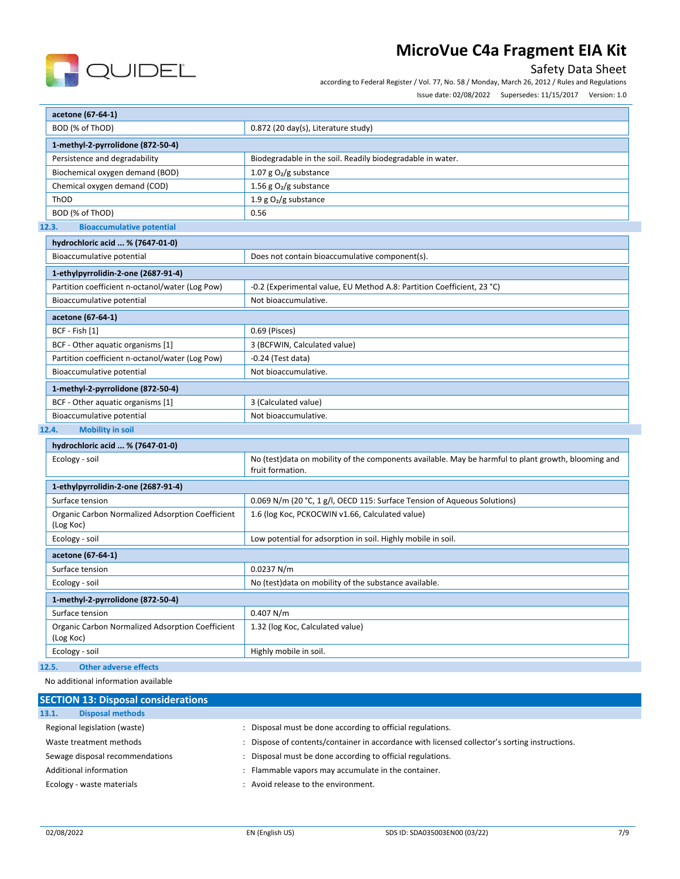

### Safety Data Sheet

according to Federal Register / Vol. 77, No. 58 / Monday, March 26, 2012 / Rules and Regulations

Issue date: 02/08/2022 Supersedes: 11/15/2017 Version: 1.0

| acetone (67-64-1)                                             |                                                                                                                         |  |  |
|---------------------------------------------------------------|-------------------------------------------------------------------------------------------------------------------------|--|--|
| BOD (% of ThOD)                                               | $0.872$ (20 day(s), Literature study)                                                                                   |  |  |
| 1-methyl-2-pyrrolidone (872-50-4)                             |                                                                                                                         |  |  |
| Persistence and degradability                                 | Biodegradable in the soil. Readily biodegradable in water.                                                              |  |  |
| Biochemical oxygen demand (BOD)                               | 1.07 g $O_2/g$ substance                                                                                                |  |  |
| Chemical oxygen demand (COD)                                  | 1.56 g $O_2/g$ substance                                                                                                |  |  |
| ThOD                                                          | 1.9 g $O_2/g$ substance                                                                                                 |  |  |
| BOD (% of ThOD)                                               | 0.56                                                                                                                    |  |  |
| 12.3.<br><b>Bioaccumulative potential</b>                     |                                                                                                                         |  |  |
| hydrochloric acid  % (7647-01-0)                              |                                                                                                                         |  |  |
| Bioaccumulative potential                                     | Does not contain bioaccumulative component(s).                                                                          |  |  |
| 1-ethylpyrrolidin-2-one (2687-91-4)                           |                                                                                                                         |  |  |
| Partition coefficient n-octanol/water (Log Pow)               | -0.2 (Experimental value, EU Method A.8: Partition Coefficient, 23 °C)                                                  |  |  |
| Bioaccumulative potential                                     | Not bioaccumulative.                                                                                                    |  |  |
| acetone (67-64-1)                                             |                                                                                                                         |  |  |
| BCF - Fish [1]                                                | 0.69 (Pisces)                                                                                                           |  |  |
| BCF - Other aquatic organisms [1]                             | 3 (BCFWIN, Calculated value)                                                                                            |  |  |
| Partition coefficient n-octanol/water (Log Pow)               | $-0.24$ (Test data)                                                                                                     |  |  |
| Bioaccumulative potential                                     | Not bioaccumulative.                                                                                                    |  |  |
| 1-methyl-2-pyrrolidone (872-50-4)                             |                                                                                                                         |  |  |
| BCF - Other aquatic organisms [1]                             | 3 (Calculated value)                                                                                                    |  |  |
| Bioaccumulative potential                                     | Not bioaccumulative.                                                                                                    |  |  |
| 12.4.<br><b>Mobility in soil</b>                              |                                                                                                                         |  |  |
| hydrochloric acid  % (7647-01-0)                              |                                                                                                                         |  |  |
| Ecology - soil                                                | No (test)data on mobility of the components available. May be harmful to plant growth, blooming and<br>fruit formation. |  |  |
| 1-ethylpyrrolidin-2-one (2687-91-4)                           |                                                                                                                         |  |  |
| Surface tension                                               | 0.069 N/m (20 °C, 1 g/l, OECD 115: Surface Tension of Aqueous Solutions)                                                |  |  |
| Organic Carbon Normalized Adsorption Coefficient<br>(Log Koc) | 1.6 (log Koc, PCKOCWIN v1.66, Calculated value)                                                                         |  |  |
| Ecology - soil                                                | Low potential for adsorption in soil. Highly mobile in soil.                                                            |  |  |
| acetone (67-64-1)                                             |                                                                                                                         |  |  |
| Surface tension                                               | 0.0237 N/m                                                                                                              |  |  |
| Ecology - soil                                                | No (test) data on mobility of the substance available.                                                                  |  |  |
| 1-methyl-2-pyrrolidone (872-50-4)                             |                                                                                                                         |  |  |
| Surface tension                                               | 0.407 N/m                                                                                                               |  |  |
| Organic Carbon Normalized Adsorption Coefficient<br>(Log Koc) | 1.32 (log Koc, Calculated value)                                                                                        |  |  |
| Ecology - soil                                                | Highly mobile in soil.                                                                                                  |  |  |
| <b>Other adverse effects</b><br>12.5.                         |                                                                                                                         |  |  |

No additional information available

| <b>SECTION 13: Disposal considerations</b> |                                                                                             |
|--------------------------------------------|---------------------------------------------------------------------------------------------|
| <b>Disposal methods</b><br>13.1.           |                                                                                             |
| Regional legislation (waste)               | Disposal must be done according to official regulations.                                    |
| Waste treatment methods                    | Dispose of contents/container in accordance with licensed collector's sorting instructions. |
| Sewage disposal recommendations            | Disposal must be done according to official regulations.                                    |
| Additional information                     | Flammable vapors may accumulate in the container.                                           |
| Ecology - waste materials                  | Avoid release to the environment.                                                           |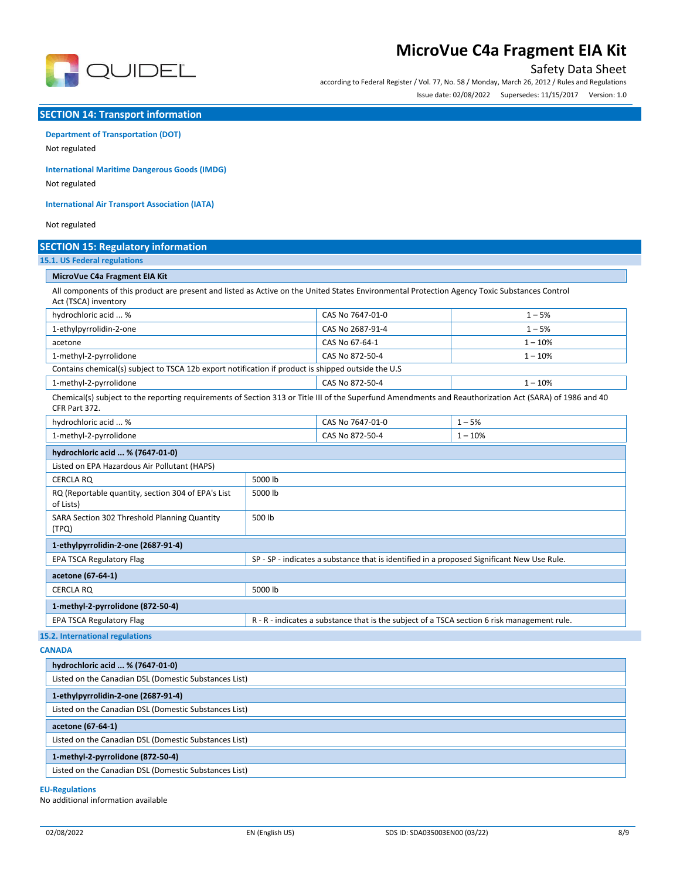

### Safety Data Sheet

according to Federal Register / Vol. 77, No. 58 / Monday, March 26, 2012 / Rules and Regulations Issue date: 02/08/2022 Supersedes: 11/15/2017 Version: 1.0

#### **SECTION 14: Transport information**

# **Department of Transportation (DOT)**

Not regulated

**International Maritime Dangerous Goods (IMDG)**

Not regulated

**International Air Transport Association (IATA)**

Not regulated

| <b>SECTION 15: Regulatory information</b>                                                                                                                                |                                                                                             |                  |           |
|--------------------------------------------------------------------------------------------------------------------------------------------------------------------------|---------------------------------------------------------------------------------------------|------------------|-----------|
| <b>15.1. US Federal regulations</b>                                                                                                                                      |                                                                                             |                  |           |
| MicroVue C4a Fragment EIA Kit                                                                                                                                            |                                                                                             |                  |           |
| All components of this product are present and listed as Active on the United States Environmental Protection Agency Toxic Substances Control<br>Act (TSCA) inventory    |                                                                                             |                  |           |
| hydrochloric acid  %                                                                                                                                                     |                                                                                             | CAS No 7647-01-0 | $1 - 5%$  |
| 1-ethylpyrrolidin-2-one                                                                                                                                                  |                                                                                             | CAS No 2687-91-4 | $1 - 5%$  |
| acetone                                                                                                                                                                  |                                                                                             | CAS No 67-64-1   | $1 - 10%$ |
| 1-methyl-2-pyrrolidone                                                                                                                                                   |                                                                                             | CAS No 872-50-4  | $1 - 10%$ |
| Contains chemical(s) subject to TSCA 12b export notification if product is shipped outside the U.S                                                                       |                                                                                             |                  |           |
| 1-methyl-2-pyrrolidone                                                                                                                                                   |                                                                                             | CAS No 872-50-4  | $1 - 10%$ |
| Chemical(s) subject to the reporting requirements of Section 313 or Title III of the Superfund Amendments and Reauthorization Act (SARA) of 1986 and 40<br>CFR Part 372. |                                                                                             |                  |           |
| hydrochloric acid  %                                                                                                                                                     | $1 - 5%$<br>CAS No 7647-01-0                                                                |                  |           |
| 1-methyl-2-pyrrolidone                                                                                                                                                   |                                                                                             | CAS No 872-50-4  | $1 - 10%$ |
| hydrochloric acid  % (7647-01-0)                                                                                                                                         |                                                                                             |                  |           |
| Listed on EPA Hazardous Air Pollutant (HAPS)                                                                                                                             |                                                                                             |                  |           |
| <b>CERCLA RO</b>                                                                                                                                                         | 5000 lb                                                                                     |                  |           |
| RQ (Reportable quantity, section 304 of EPA's List<br>of Lists)                                                                                                          | 5000 lb                                                                                     |                  |           |
| SARA Section 302 Threshold Planning Quantity<br>(TPQ)                                                                                                                    | 500 lb                                                                                      |                  |           |
| 1-ethylpyrrolidin-2-one (2687-91-4)                                                                                                                                      |                                                                                             |                  |           |
| <b>EPA TSCA Regulatory Flag</b>                                                                                                                                          | SP - SP - indicates a substance that is identified in a proposed Significant New Use Rule.  |                  |           |
| acetone (67-64-1)                                                                                                                                                        |                                                                                             |                  |           |
| <b>CERCLA RO</b>                                                                                                                                                         | 5000 lb                                                                                     |                  |           |
| 1-methyl-2-pyrrolidone (872-50-4)                                                                                                                                        |                                                                                             |                  |           |
| <b>EPA TSCA Regulatory Flag</b>                                                                                                                                          | R - R - indicates a substance that is the subject of a TSCA section 6 risk management rule. |                  |           |
| 15.2. International regulations                                                                                                                                          |                                                                                             |                  |           |

**CANADA**

| hydrochloric acid  % (7647-01-0)                      |
|-------------------------------------------------------|
| Listed on the Canadian DSL (Domestic Substances List) |
| 1-ethylpyrrolidin-2-one (2687-91-4)                   |
| Listed on the Canadian DSL (Domestic Substances List) |
| acetone (67-64-1)                                     |
| Listed on the Canadian DSL (Domestic Substances List) |
| 1-methyl-2-pyrrolidone (872-50-4)                     |
| Listed on the Canadian DSL (Domestic Substances List) |

#### **EU-Regulations**

No additional information available